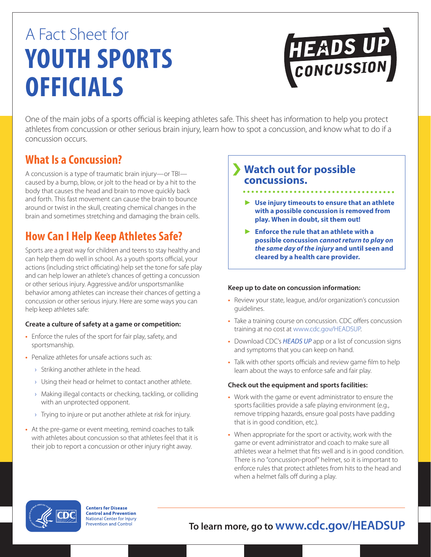# A Fact Sheet for **YOUTH SPORTS OFFICIALS**



One of the main jobs of a sports official is keeping athletes safe. This sheet has information to help you protect athletes from concussion or other serious brain injury, learn how to spot a concussion, and know what to do if a concussion occurs.

## **What Is a Concussion?**

A concussion is a type of traumatic brain injury—or TBI caused by a bump, blow, or jolt to the head or by a hit to the body that causes the head and brain to move quickly back and forth. This fast movement can cause the brain to bounce around or twist in the skull, creating chemical changes in the brain and sometimes stretching and damaging the brain cells.

## **How Can I Help Keep Athletes Safe?**

Sports are a great way for children and teens to stay healthy and can help them do well in school. As a youth sports official, your actions (including strict officiating) help set the tone for safe play and can help lower an athlete's chances of getting a concussion or other serious injury. Aggressive and/or unsportsmanlike behavior among athletes can increase their chances of getting a concussion or other serious injury. Here are some ways you can help keep athletes safe:

### **Create a culture of safety at a game or competition:**

- **•**  Enforce the rules of the sport for fair play, safety, and sportsmanship.
- **•**  Penalize athletes for unsafe actions such as:
	- **›** Striking another athlete in the head.
	- Using their head or helmet to contact another athlete.
	- Making illegal contacts or checking, tackling, or colliding with an unprotected opponent.
	- Trying to injure or put another athlete at risk for injury.
- **•**  At the pre-game or event meeting, remind coaches to talk with athletes about concussion so that athletes feel that it is their job to report a concussion or other injury right away.

### **Watch out for possible concussions.**

- ► **Use injury timeouts to ensure that an athlete with a possible concussion is removed from play. When in doubt, sit them out!**
- ► **Enforce the rule that an athlete with a possible concussion** *cannot return to play on the same day of the injury* **and until seen and cleared by a health care provider.**

### **Keep up to date on concussion information:**

- **•**  Review your state, league, and/or organization's concussion guidelines.
- Take a training course on concussion. CDC offers concussion training at no cost at www.cdc.gov/HEADSUP.
- Download CDC's **HEADS UP** app or a list of concussion signs and symptoms that you can keep on hand.
- Talk with other sports officials and review game film to help learn about the ways to enforce safe and fair play.

### **Check out the equipment and sports facilities:**

- **•**  Work with the game or event administrator to ensure the sports facilities provide a safe playing environment (e.g., remove tripping hazards, ensure goal posts have padding that is in good condition, etc.).
- **•**  When appropriate for the sport or activity, work with the game or event administrator and coach to make sure all athletes wear a helmet that fits well and is in good condition. There is no "concussion-proof" helmet, so it is important to enforce rules that protect athletes from hits to the head and when a helmet falls off during a play.



**Centers for Disease Control and Prevention** National Center for Injury **Prevention and Control** 

## **To learn more, go to [www.cdc.gov/H](http://www.cdc.gov/HeadsUp)EADSUP**